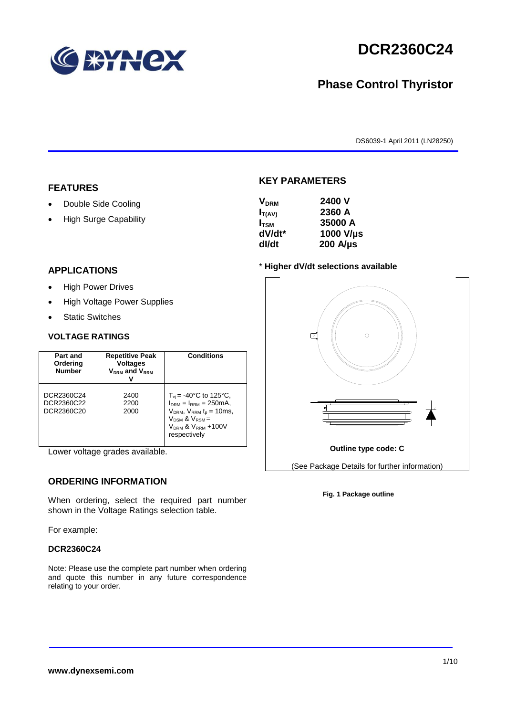

# **DCR2360C24**

# **Phase Control Thyristor**

DS6039-1 April 2011 (LN28250)

# **FEATURES**

- Double Side Cooling
- High Surge Capability

## **APPLICATIONS**

- High Power Drives
- High Voltage Power Supplies
- Static Switches

## **VOLTAGE RATINGS**

| Part and<br>Ordering<br><b>Number</b>  | <b>Repetitive Peak</b><br><b>Voltages</b><br>$V_{DRM}$ and $V_{RRM}$ | <b>Conditions</b>                                                                                                                                                                    |
|----------------------------------------|----------------------------------------------------------------------|--------------------------------------------------------------------------------------------------------------------------------------------------------------------------------------|
| DCR2360C24<br>DCR2360C22<br>DCR2360C20 | 2400<br>2200<br>2000                                                 | $T_{vi}$ = -40°C to 125°C,<br>$I_{DRM} = I_{RRM} = 250 \text{mA}$<br>$V_{DRM}$ , $V_{RRM}$ $t_{p}$ = 10ms,<br>$V_{DSM}$ & $V_{RSM}$ =<br>$V_{DRM}$ & $V_{RRM}$ +100V<br>respectively |

Lower voltage grades available.

# **ORDERING INFORMATION**

When ordering, select the required part number shown in the Voltage Ratings selection table.

For example:

### **DCR2360C24**

Note: Please use the complete part number when ordering and quote this number in any future correspondence relating to your order.

# **KEY PARAMETERS**

| <b>V<sub>DRM</sub></b> | 2400 V           |
|------------------------|------------------|
| $I_{T(AV)}$            | 2360 A           |
| I <sub>tsm</sub>       | 35000 A          |
| dV/dt*                 | 1000 V/µs        |
| dl/dt                  | $200$ A/ $\mu$ s |
|                        |                  |

### \* **Higher dV/dt selections available**



### **Fig. 1 Package outline**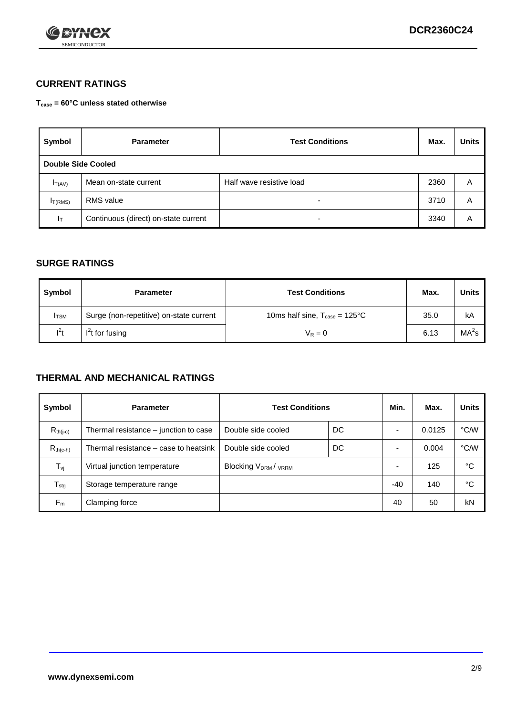

# **CURRENT RATINGS**

**Tcase = 60°C unless stated otherwise**

| Symbol             | <b>Parameter</b>                     | <b>Test Conditions</b>   | Max. | <b>Units</b> |
|--------------------|--------------------------------------|--------------------------|------|--------------|
| Double Side Cooled |                                      |                          |      |              |
| $I_{T(AV)}$        | Mean on-state current                | Half wave resistive load | 2360 | A            |
| $I_{T(RMS)}$       | RMS value                            | $\overline{\phantom{a}}$ | 3710 | Α            |
| Iт                 | Continuous (direct) on-state current | $\overline{\phantom{a}}$ | 3340 | Α            |

# **SURGE RATINGS**

| Symbol       | <b>Parameter</b>                        | <b>Test Conditions</b>                           | Max. | <b>Units</b>      |
|--------------|-----------------------------------------|--------------------------------------------------|------|-------------------|
| <b>I</b> TSM | Surge (non-repetitive) on-state current | 10ms half sine, $T_{\text{case}} = 125^{\circ}C$ | 35.0 | kA                |
| $l^2t$       | $I2t$ for fusing                        | $V_R = 0$                                        | 6.13 | MA <sup>2</sup> s |

# **THERMAL AND MECHANICAL RATINGS**

| Symbol           | <b>Parameter</b>                      | <b>Test Conditions</b>    |    | Min.  | Max.   | <b>Units</b> |
|------------------|---------------------------------------|---------------------------|----|-------|--------|--------------|
| $R_{th(i-c)}$    | Thermal resistance – junction to case | Double side cooled        | DC |       | 0.0125 | °C/W         |
| $R_{th(c-h)}$    | Thermal resistance – case to heatsink | Double side cooled        | DC |       | 0.004  | °C/W         |
| $T_{\nu j}$      | Virtual junction temperature          | <b>Blocking VDRM/VRRM</b> |    |       | 125    | °C           |
| $T_{\text{stg}}$ | Storage temperature range             |                           |    | $-40$ | 140    | °C           |
| $F_m$            | Clamping force                        |                           |    | 40    | 50     | kN           |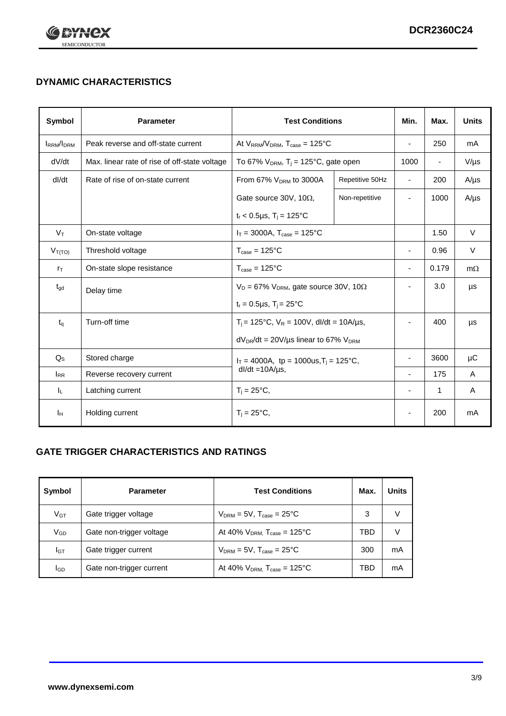

# **DYNAMIC CHARACTERISTICS**

| <b>Symbol</b>     | <b>Parameter</b>                              | <b>Test Conditions</b>                                                        |                 | Min.                     | Max.                     | <b>Units</b> |
|-------------------|-----------------------------------------------|-------------------------------------------------------------------------------|-----------------|--------------------------|--------------------------|--------------|
| <b>IRRM</b> /IDRM | Peak reverse and off-state current            | At $V_{RRM}/V_{DRM}$ , $T_{case} = 125$ °C                                    |                 | $\blacksquare$           | 250                      | mA           |
| dV/dt             | Max. linear rate of rise of off-state voltage | To 67% $V_{DRM}$ , T <sub>i</sub> = 125°C, gate open                          |                 | 1000                     | $\overline{\phantom{a}}$ | $V/\mu s$    |
| dl/dt             | Rate of rise of on-state current              | From 67% $V_{DRM}$ to 3000A                                                   | Repetitive 50Hz | $\overline{\phantom{a}}$ | 200                      | $A/\mu s$    |
|                   |                                               | Gate source 30V, 10 $\Omega$ ,                                                | Non-repetitive  | $\overline{\phantom{a}}$ | 1000                     | $A/\mu s$    |
|                   |                                               | $t_r$ < 0.5µs, T <sub>i</sub> = 125°C                                         |                 |                          |                          |              |
| $V_T$             | On-state voltage                              | $I_T = 3000A$ , $T_{case} = 125^{\circ}C$                                     |                 |                          | 1.50                     | $\vee$       |
| $V_{T(TO)}$       | Threshold voltage                             | $T_{\text{case}} = 125^{\circ}C$                                              |                 | ٠                        | 0.96                     | $\vee$       |
| $r_{\text{T}}$    | On-state slope resistance                     | $T_{\text{case}} = 125^{\circ}C$                                              |                 | $\overline{\phantom{a}}$ | 0.179                    | $m\Omega$    |
| $t_{\rm gd}$      | Delay time                                    | $V_D = 67\%$ V <sub>DRM</sub> , gate source 30V, 10 $\Omega$                  |                 | ÷,                       | 3.0                      | μs           |
|                   |                                               | $t_r = 0.5 \mu s$ , $T_i = 25^{\circ}C$                                       |                 |                          |                          |              |
| $t_{q}$           | Turn-off time                                 | $T_i$ = 125°C, $V_R$ = 100V, dl/dt = 10A/µs,                                  |                 | ٠                        | 400                      | μs           |
|                   |                                               | $dV_{DR}/dt = 20V/\mu s$ linear to 67% $V_{DRM}$                              |                 |                          |                          |              |
| $Q_{\rm S}$       | Stored charge                                 | $I_T = 4000A$ , tp = 1000us, T <sub>i</sub> = 125°C,<br>$dl/dt = 10A/\mu s$ , |                 |                          | 3600                     | $\mu$ C      |
| $I_{RR}$          | Reverse recovery current                      |                                                                               |                 |                          | 175                      | A            |
| IL.               | Latching current                              | $T_i = 25^{\circ}C$ ,                                                         |                 | -                        | 1                        | Α            |
| Iн                | Holding current                               | $T_i = 25^{\circ}C,$                                                          |                 |                          | 200                      | mA           |

# **GATE TRIGGER CHARACTERISTICS AND RATINGS**

| Symbol          | <b>Parameter</b>         | <b>Test Conditions</b>                       | Max. | <b>Units</b> |
|-----------------|--------------------------|----------------------------------------------|------|--------------|
| V <sub>GT</sub> | Gate trigger voltage     | $V_{DRM} = 5V$ , $T_{case} = 25^{\circ}C$    | 3    | V            |
| V <sub>GD</sub> | Gate non-trigger voltage | At 40% $V_{DRM}$ , $T_{case} = 125^{\circ}C$ | TBD  | V            |
| Iст             | Gate trigger current     | $V_{DRM} = 5V$ , $T_{case} = 25^{\circ}C$    | 300  | mA           |
| lgp             | Gate non-trigger current | At 40% $V_{DRM}$ , $T_{case} = 125^{\circ}C$ | TBD  | mA           |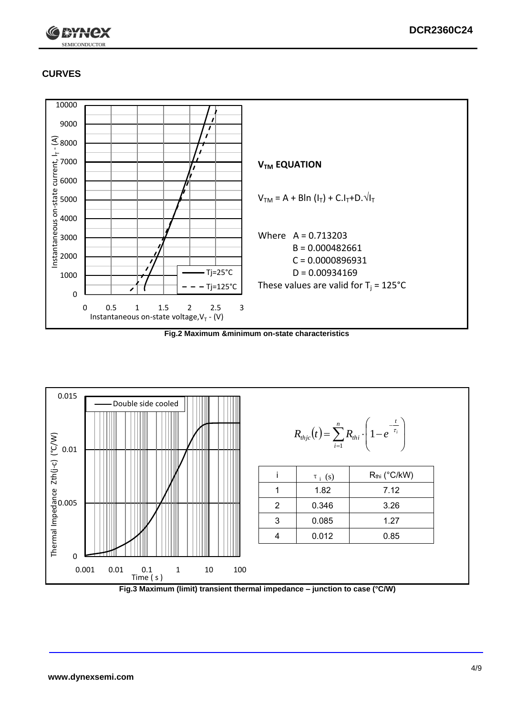

# **CURVES**



**Fig.2 Maximum &minimum on-state characteristics**



**Fig.3 Maximum (limit) transient thermal impedance – junction to case (°C/W)**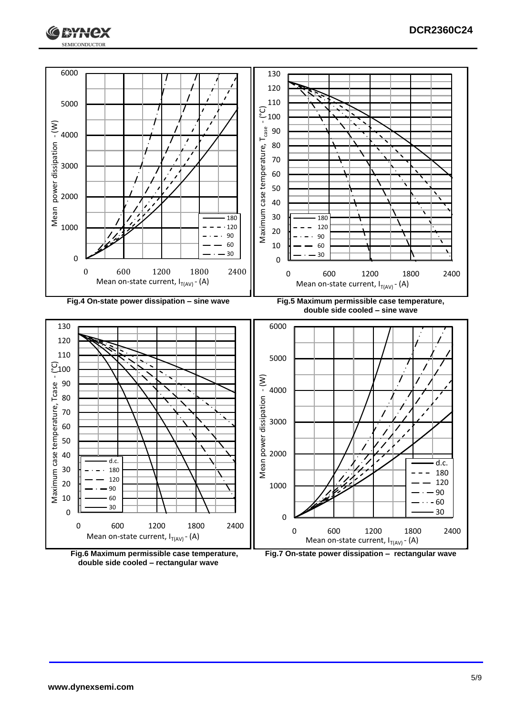





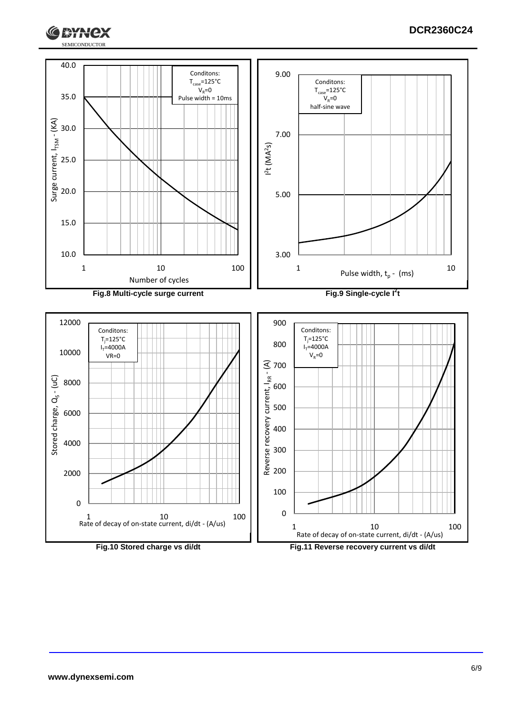

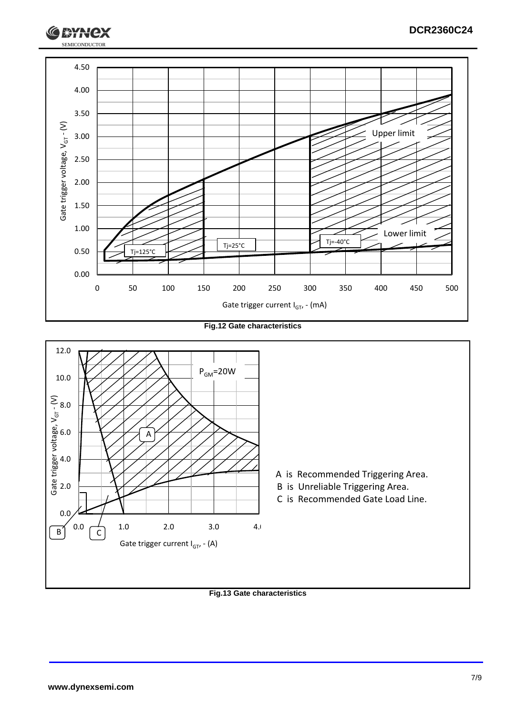

**Fig.12 Gate characteristics**



**Fig.13 Gate characteristics**

SEMICONDUCTOR

**RYH**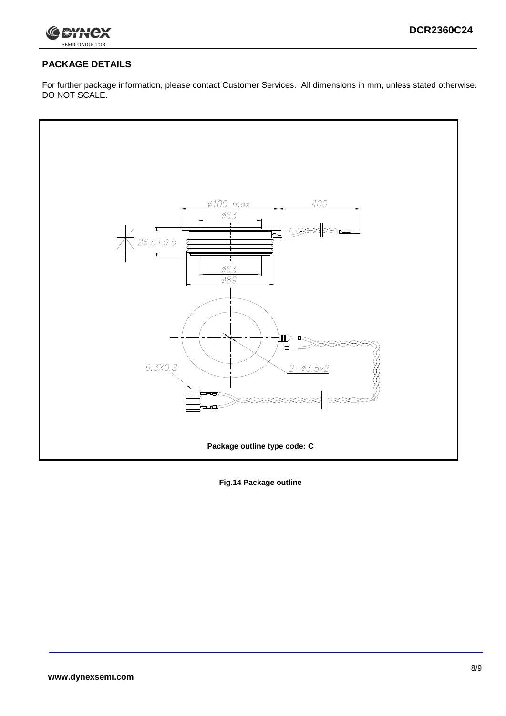

# **PACKAGE DETAILS**

For further package information, please contact Customer Services. All dimensions in mm, unless stated otherwise. DO NOT SCALE.



**Fig.14 Package outline**